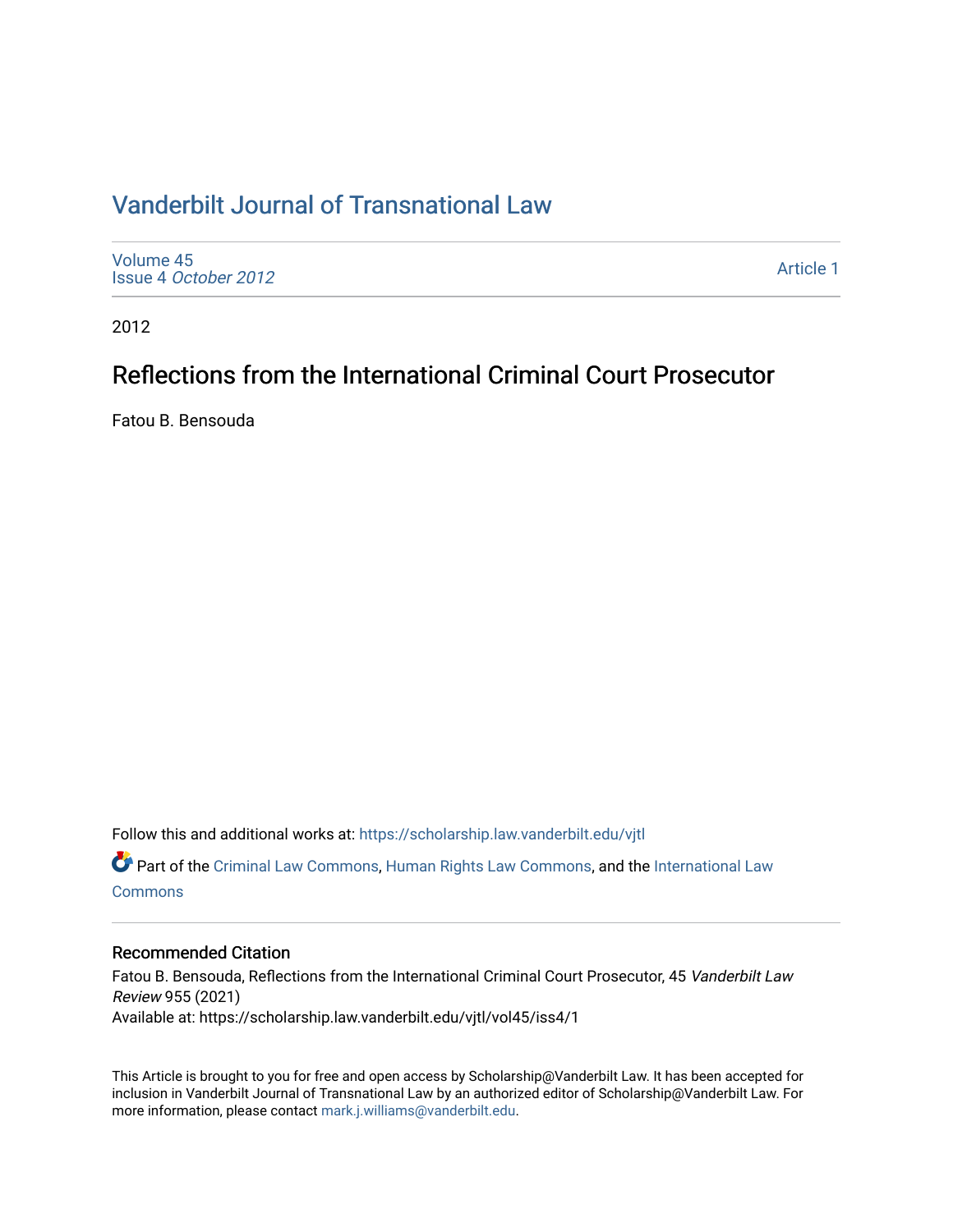### [Vanderbilt Journal of Transnational Law](https://scholarship.law.vanderbilt.edu/vjtl)

[Volume 45](https://scholarship.law.vanderbilt.edu/vjtl/vol45) Issue 4 [October 2012](https://scholarship.law.vanderbilt.edu/vjtl/vol45/iss4)

[Article 1](https://scholarship.law.vanderbilt.edu/vjtl/vol45/iss4/1) 

2012

## Reflections from the International Criminal Court Prosecutor

Fatou B. Bensouda

Follow this and additional works at: [https://scholarship.law.vanderbilt.edu/vjtl](https://scholarship.law.vanderbilt.edu/vjtl?utm_source=scholarship.law.vanderbilt.edu%2Fvjtl%2Fvol45%2Fiss4%2F1&utm_medium=PDF&utm_campaign=PDFCoverPages) 

Part of the [Criminal Law Commons,](http://network.bepress.com/hgg/discipline/912?utm_source=scholarship.law.vanderbilt.edu%2Fvjtl%2Fvol45%2Fiss4%2F1&utm_medium=PDF&utm_campaign=PDFCoverPages) [Human Rights Law Commons](http://network.bepress.com/hgg/discipline/847?utm_source=scholarship.law.vanderbilt.edu%2Fvjtl%2Fvol45%2Fiss4%2F1&utm_medium=PDF&utm_campaign=PDFCoverPages), and the [International Law](http://network.bepress.com/hgg/discipline/609?utm_source=scholarship.law.vanderbilt.edu%2Fvjtl%2Fvol45%2Fiss4%2F1&utm_medium=PDF&utm_campaign=PDFCoverPages) **[Commons](http://network.bepress.com/hgg/discipline/609?utm_source=scholarship.law.vanderbilt.edu%2Fvjtl%2Fvol45%2Fiss4%2F1&utm_medium=PDF&utm_campaign=PDFCoverPages)** 

#### Recommended Citation

Fatou B. Bensouda, Reflections from the International Criminal Court Prosecutor, 45 Vanderbilt Law Review 955 (2021) Available at: https://scholarship.law.vanderbilt.edu/vjtl/vol45/iss4/1

This Article is brought to you for free and open access by Scholarship@Vanderbilt Law. It has been accepted for inclusion in Vanderbilt Journal of Transnational Law by an authorized editor of Scholarship@Vanderbilt Law. For more information, please contact [mark.j.williams@vanderbilt.edu](mailto:mark.j.williams@vanderbilt.edu).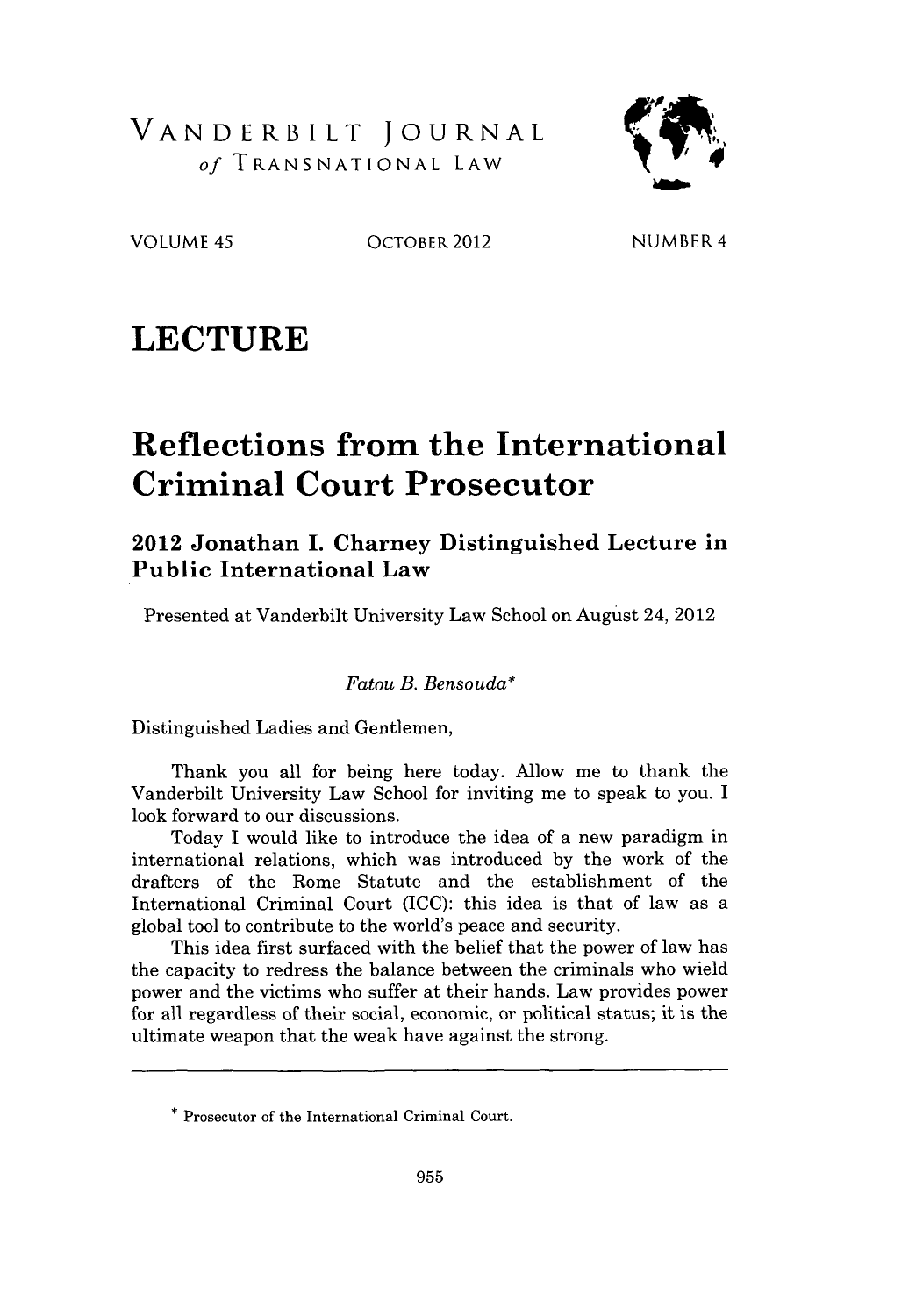VANDERBILT JOURNAL *of* TRANSNATIONAL LAW



VOLUME 45 OCTOBER 2012

**NUMBER** 4

# **LECTURE**

# **Reflections from the International Criminal Court Prosecutor**

#### **2012 Jonathan I. Charney Distinguished Lecture in Public International Law**

Presented at Vanderbilt University Law School on August 24, 2012

*Fatou B. Bensouda\**

Distinguished Ladies and Gentlemen,

Thank you all for being here today. Allow me to thank the Vanderbilt University Law School for inviting me to speak to you. I look forward to our discussions.

Today I would like to introduce the idea of a new paradigm in international relations, which was introduced by the work of the drafters of the Rome Statute and the establishment of the International Criminal Court (ICC): this idea is that of law as a global tool to contribute to the world's peace and security.

This idea first surfaced with the belief that the power of law has the capacity to redress the balance between the criminals who wield power and the victims who suffer at their hands. Law provides power for all regardless of their social, economic, or political status; it is the ultimate weapon that the weak have against the strong.

<sup>\*</sup> Prosecutor of the International Criminal Court.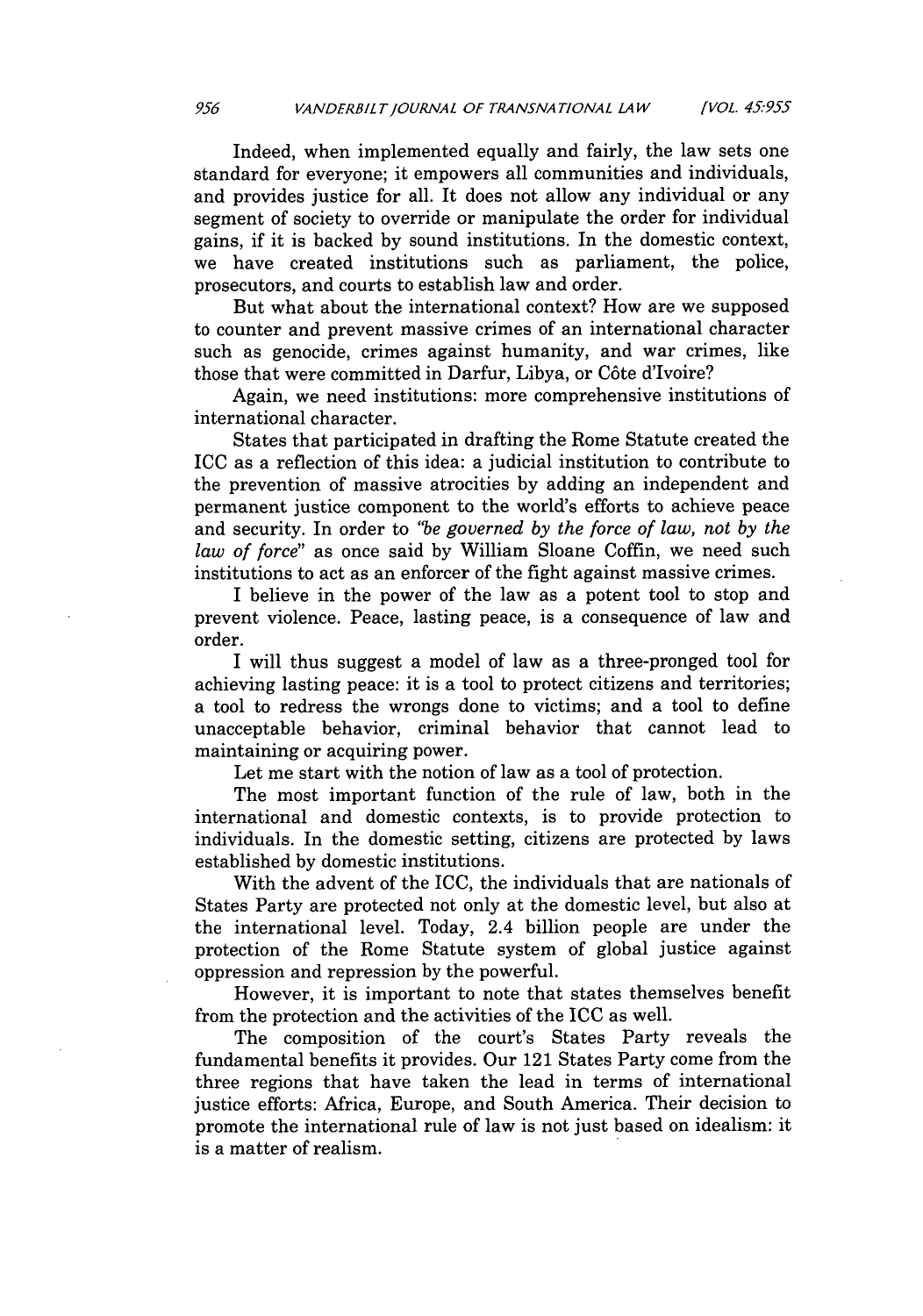Indeed, when implemented equally and fairly, the law sets one standard for everyone; it empowers all communities and individuals, and provides justice for all. It does not allow any individual or any segment of society to override or manipulate the order for individual gains, if it is backed by sound institutions. In the domestic context, we have created institutions such as parliament, the police, prosecutors, and courts to establish law and order.

But what about the international context? How are we supposed to counter and prevent massive crimes of an international character such as genocide, crimes against humanity, and war crimes, like those that were committed in Darfur, Libya, or C6te d'Ivoire?

Again, we need institutions: more comprehensive institutions of international character.

States that participated in drafting the Rome Statute created the ICC as a reflection of this idea: a judicial institution to contribute to the prevention of massive atrocities by adding an independent and permanent justice component to the world's efforts to achieve peace and security. In order to *"be governed by the force of law, not by the law of force"* as once said by William Sloane Coffin, we need such institutions to act as an enforcer of the fight against massive crimes.

I believe in the power of the law as a potent tool to stop and prevent violence. Peace, lasting peace, is a consequence of law and order.

I will thus suggest a model of law as a three-pronged tool for achieving lasting peace: it is a tool to protect citizens and territories; a tool to redress the wrongs done to victims; and a tool to define unacceptable behavior, criminal behavior that cannot lead to maintaining or acquiring power.

Let me start with the notion of law as a tool of protection.

The most important function of the rule of law, both in the international and domestic contexts, is to provide protection to individuals. In the domestic setting, citizens are protected by laws established by domestic institutions.

With the advent of the ICC, the individuals that are nationals of States Party are protected not only at the domestic level, but also at the international level. Today, 2.4 billion people are under the protection of the Rome Statute system of global justice against oppression and repression by the powerful.

However, it is important to note that states themselves benefit from the protection and the activities of the ICC as well.

The composition of the court's States Party reveals the fundamental benefits it provides. Our 121 States Party come from the three regions that have taken the lead in terms of international justice efforts: Africa, Europe, and South America. Their decision to promote the international rule of law is not just based on idealism: it is a matter of realism.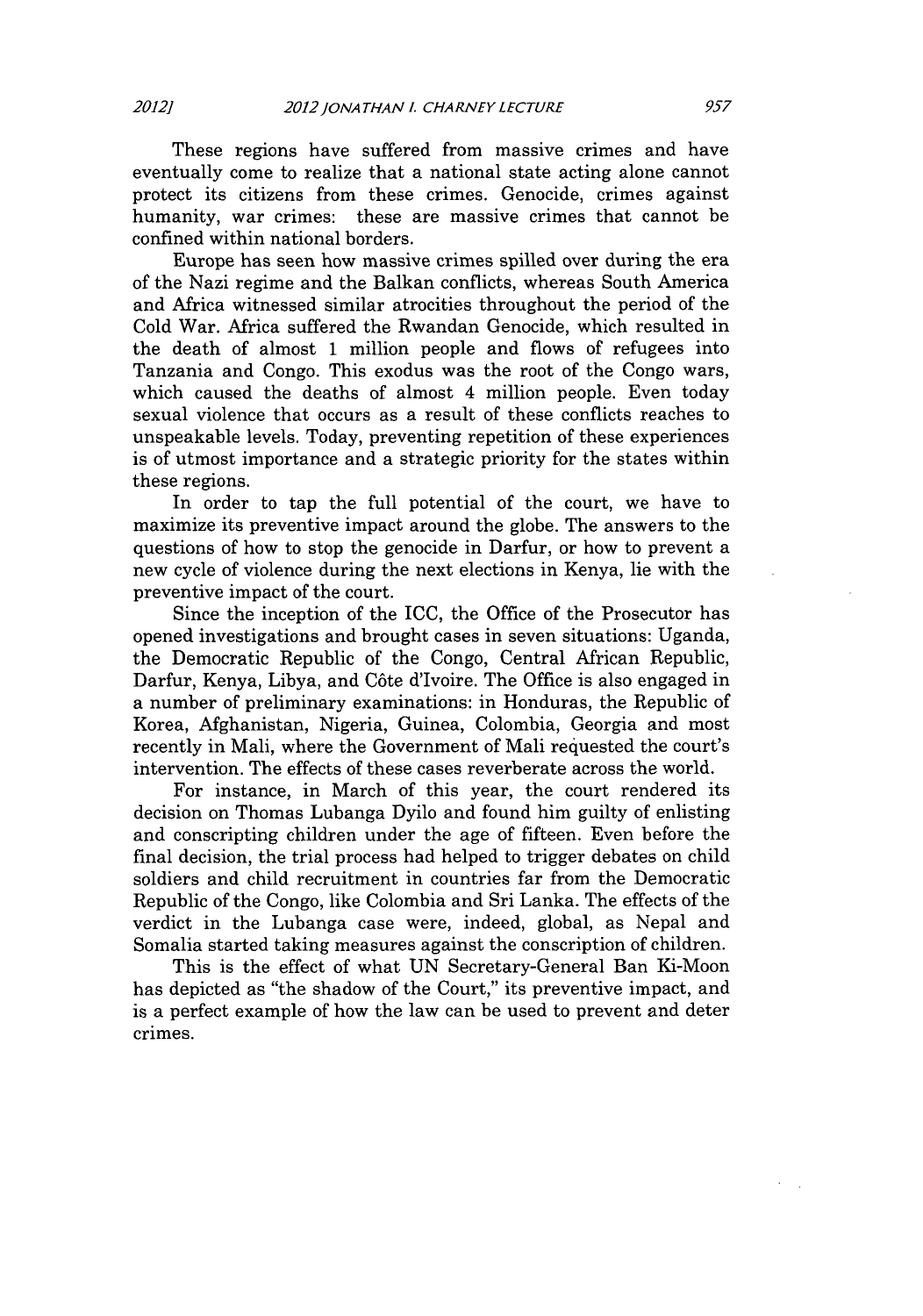These regions have suffered from massive crimes and have eventually come to realize that a national state acting alone cannot protect its citizens from these crimes. Genocide, crimes against humanity, war crimes: these are massive crimes that cannot be confined within national borders.

Europe has seen how massive crimes spilled over during the era of the Nazi regime and the Balkan conflicts, whereas South America and Africa witnessed similar atrocities throughout the period of the Cold War. Africa suffered the Rwandan Genocide, which resulted in the death of almost 1 million people and flows of refugees into Tanzania and Congo. This exodus was the root of the Congo wars, which caused the deaths of almost 4 million people. Even today sexual violence that occurs as a result of these conflicts reaches to unspeakable levels. Today, preventing repetition of these experiences is of utmost importance and a strategic priority for the states within these regions.

In order to tap the full potential of the court, we have to maximize its preventive impact around the globe. The answers to the questions of how to stop the genocide in Darfur, or how to prevent a new cycle of violence during the next elections in Kenya, lie with the preventive impact of the court.

Since the inception of the ICC, the Office of the Prosecutor has opened investigations and brought cases in seven situations: Uganda, the Democratic Republic of the Congo, Central African Republic, Darfur, Kenya, Libya, and C6te d'Ivoire. The Office is also engaged in a number of preliminary examinations: in Honduras, the Republic of Korea, Afghanistan, Nigeria, Guinea, Colombia, Georgia and most recently in Mali, where the Government of Mali requested the court's intervention. The effects of these cases reverberate across the world.

For instance, in March of this year, the court rendered its decision on Thomas Lubanga Dyilo and found him guilty of enlisting and conscripting children under the age of fifteen. Even before the final decision, the trial process had helped to trigger debates on child soldiers and child recruitment in countries far from the Democratic Republic of the Congo, like Colombia and Sri Lanka. The effects of the verdict in the Lubanga case were, indeed, global, as Nepal and Somalia started taking measures against the conscription of children.

This is the effect of what UN Secretary-General Ban Ki-Moon has depicted as "the shadow of the Court," its preventive impact, and is a perfect example of how the law can be used to prevent and deter crimes.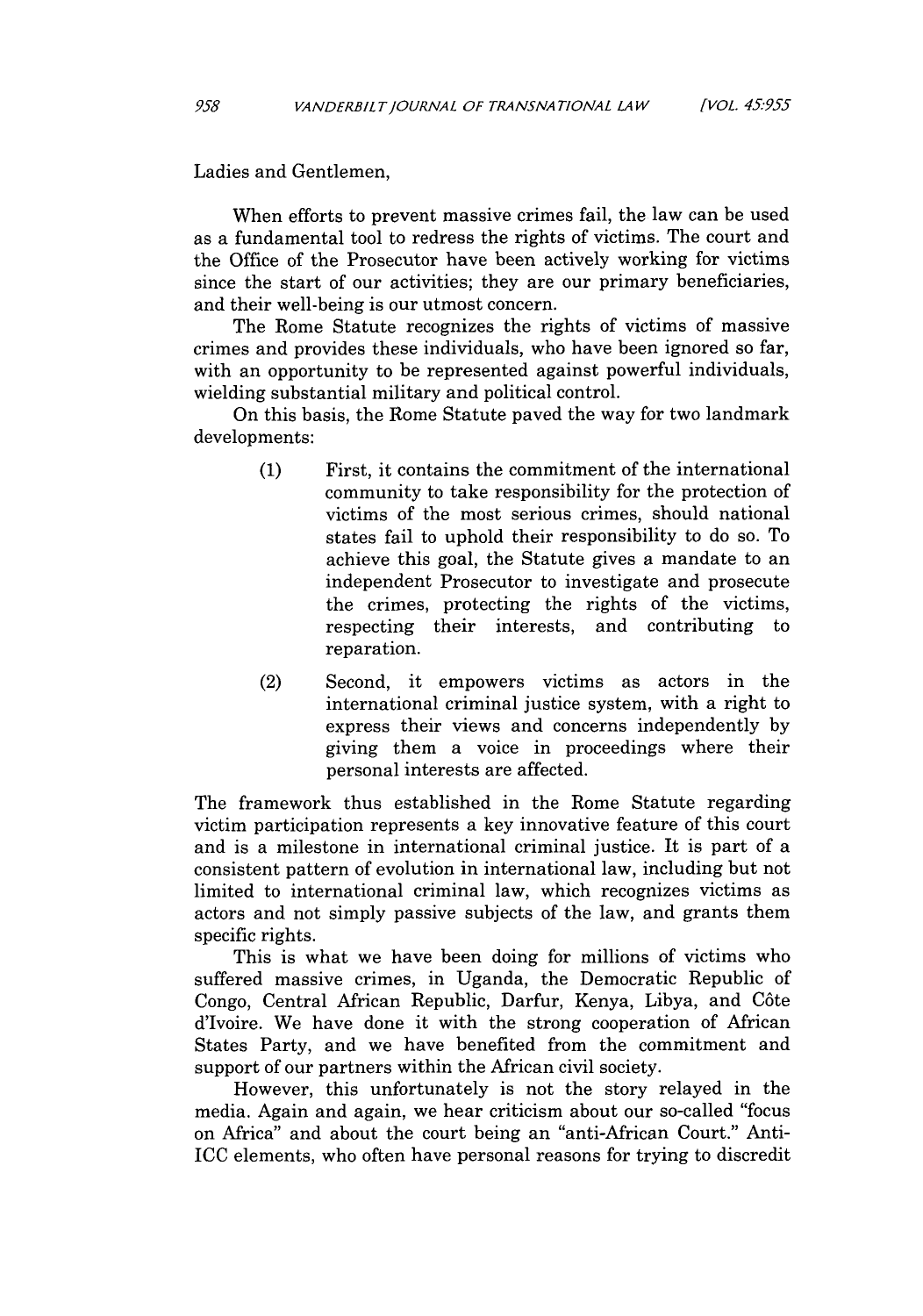Ladies and Gentlemen,

When efforts to prevent massive crimes fail, the law can be used as a fundamental tool to redress the rights of victims. The court and the Office of the Prosecutor have been actively working for victims since the start of our activities; they are our primary beneficiaries, and their well-being is our utmost concern.

The Rome Statute recognizes the rights of victims of massive crimes and provides these individuals, who have been ignored so far, with an opportunity to be represented against powerful individuals, wielding substantial military and political control.

On this basis, the Rome Statute paved the way for two landmark developments:

- (1) First, it contains the commitment of the international community to take responsibility for the protection of victims of the most serious crimes, should national states fail to uphold their responsibility to do so. To achieve this goal, the Statute gives a mandate to an independent Prosecutor to investigate and prosecute the crimes, protecting the rights of the victims, respecting their interests, and contributing to reparation.
- (2) Second, it empowers victims as actors in the international criminal justice system, with a right to express their views and concerns independently by giving them a voice in proceedings where their personal interests are affected.

The framework thus established in the Rome Statute regarding victim participation represents a key innovative feature of this court and is a milestone in international criminal justice. It is part of a consistent pattern of evolution in international law, including but not limited to international criminal law, which recognizes victims as actors and not simply passive subjects of the law, and grants them specific rights.

This is what we have been doing for millions of victims who suffered massive crimes, in Uganda, the Democratic Republic of Congo, Central African Republic, Darfur, Kenya, Libya, and C6te d'Ivoire. We have done it with the strong cooperation of African States Party, and we have benefited from the commitment and support of our partners within the African civil society.

However, this unfortunately is not the story relayed in the media. Again and again, we hear criticism about our so-called "focus on Africa" and about the court being an "anti-African Court." Anti-ICC elements, who often have personal reasons for trying to discredit

958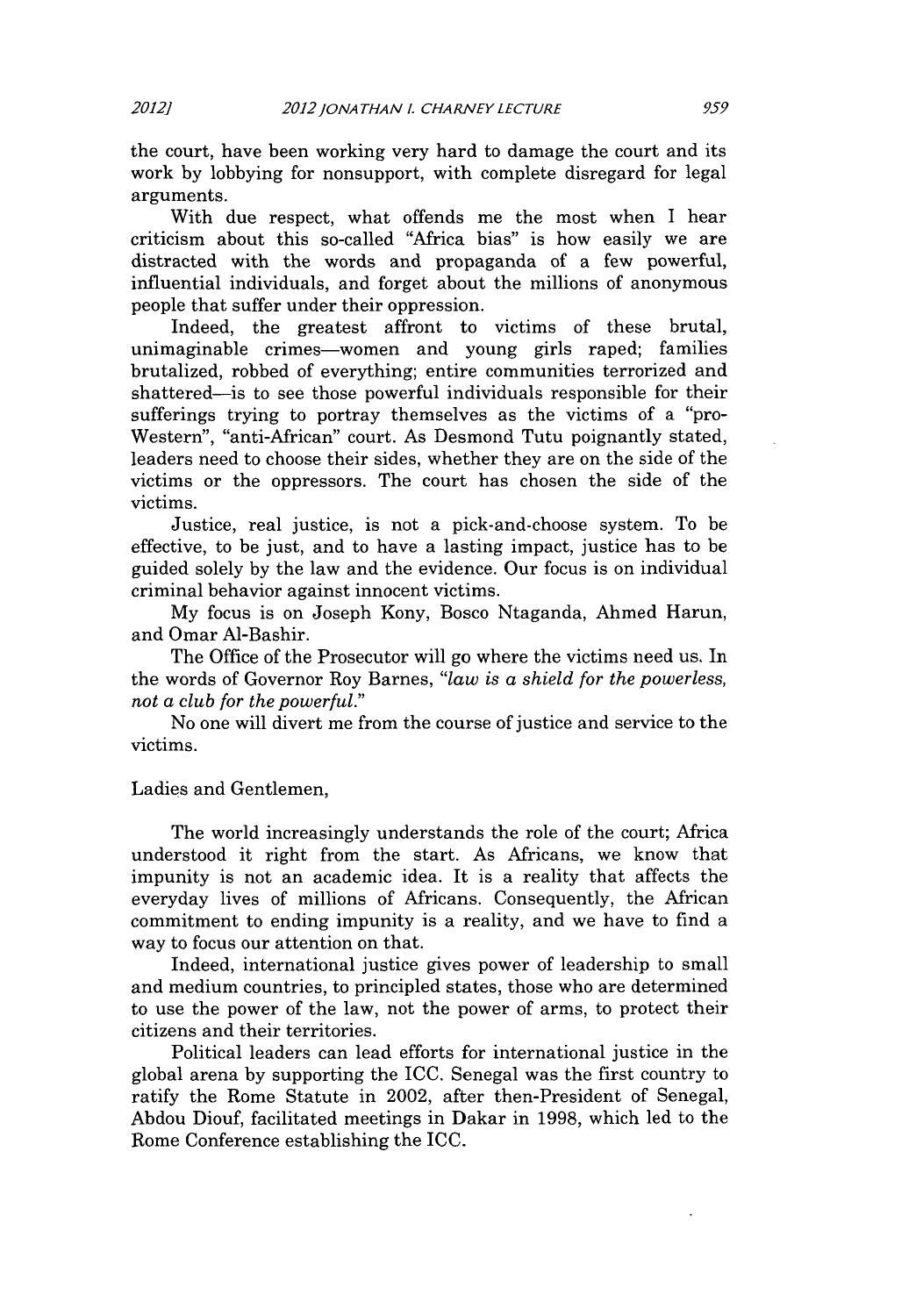the court, have been working very hard to damage the court and its work by lobbying for nonsupport, with complete disregard for legal arguments.

With due respect, what offends me the most when I hear criticism about this so-called "Africa bias" is how easily we are distracted with the words and propaganda of a few powerful, influential individuals, and forget about the millions of anonymous people that suffer under their oppression.

Indeed, the greatest affront to victims of these brutal, unimaginable crimes-women and young girls raped; families brutalized, robbed of everything; entire communities terrorized and shattered-is to see those powerful individuals responsible for their sufferings trying to portray themselves as the victims of a "pro-Western", "anti-African" court. As Desmond Tutu poignantly stated, leaders need to choose their sides, whether they are on the side of the victims or the oppressors. The court has chosen the side of the victims.

Justice, real justice, is not a pick-and-choose system. To be effective, to be just, and to have a lasting impact, justice has to be guided solely by the law and the evidence. Our focus is on individual criminal behavior against innocent victims.

My focus is on Joseph Kony, Bosco Ntaganda, Ahmed Harun, and Omar Al-Bashir.

The Office of the Prosecutor will go where the victims need us. In the words of Governor Roy Barnes, *"law is a shield for the powerless, not a club for the powerful."*

No one will divert me from the course of justice and service to the victims.

Ladies and Gentlemen,

The world increasingly understands the role of the court; Africa understood it right from the start. As Africans, we know that impunity is not an academic idea. It is a reality that affects the everyday lives of millions of Africans. Consequently, the African commitment to ending impunity is a reality, and we have to find a way to focus our attention on that.

Indeed, international justice gives power of leadership to small and medium countries, to principled states, those who are determined to use the power of the law, not the power of arms, to protect their citizens and their territories.

Political leaders can lead efforts for international justice in the global arena by supporting the ICC. Senegal was the first country to ratify the Rome Statute in 2002, after then-President of Senegal, Abdou Diouf, facilitated meetings in Dakar in 1998, which led to the Rome Conference establishing the ICC.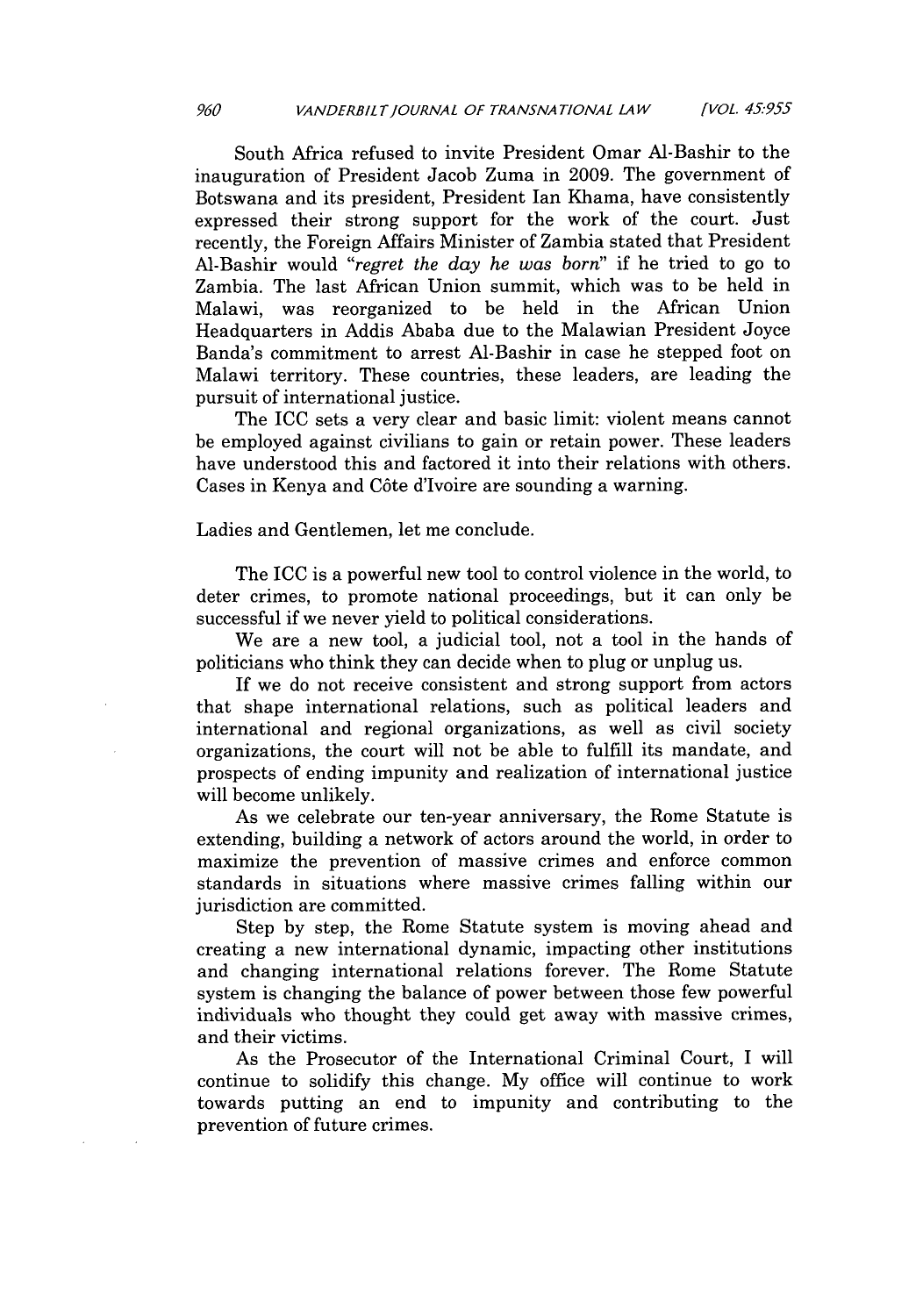South Africa refused to invite President Omar Al-Bashir to the inauguration of President Jacob Zuma in 2009. The government of Botswana and its president, President Ian Khama, have consistently expressed their strong support for the work of the court. Just recently, the Foreign Affairs Minister of Zambia stated that President A1-Bashir would *"regret the day he was born"* if he tried to go to Zambia. The last African Union summit, which was to be held in Malawi, was reorganized to be held in the African Union Headquarters in Addis Ababa due to the Malawian President Joyce Banda's commitment to arrest Al-Bashir in case he stepped foot on Malawi territory. These countries, these leaders, are leading the pursuit of international justice.

The ICC sets a very clear and basic limit: violent means cannot be employed against civilians to gain or retain power. These leaders have understood this and factored it into their relations with others. Cases in Kenya and C6te d'Ivoire are sounding a warning.

Ladies and Gentlemen, let me conclude.

The ICC is a powerful new tool to control violence in the world, to deter crimes, to promote national proceedings, but it can only be successful if we never yield to political considerations.

We are a new tool, a judicial tool, not a tool in the hands of politicians who think they can decide when to plug or unplug us.

If we do not receive consistent and strong support from actors that shape international relations, such as political leaders and international and regional organizations, as well as civil society organizations, the court will not be able to fulfill its mandate, and prospects of ending impunity and realization of international justice will become unlikely.

As we celebrate our ten-year anniversary, the Rome Statute is extending, building a network of actors around the world, in order to maximize the prevention of massive crimes and enforce common standards in situations where massive crimes falling within our jurisdiction are committed.

Step by step, the Rome Statute system is moving ahead and creating a new international dynamic, impacting other institutions and changing international relations forever. The Rome Statute system is changing the balance of power between those few powerful individuals who thought they could get away with massive crimes, and their victims.

As the Prosecutor of the International Criminal Court, I will continue to solidify this change. My office will continue to work towards putting an end to impunity and contributing to the prevention of future crimes.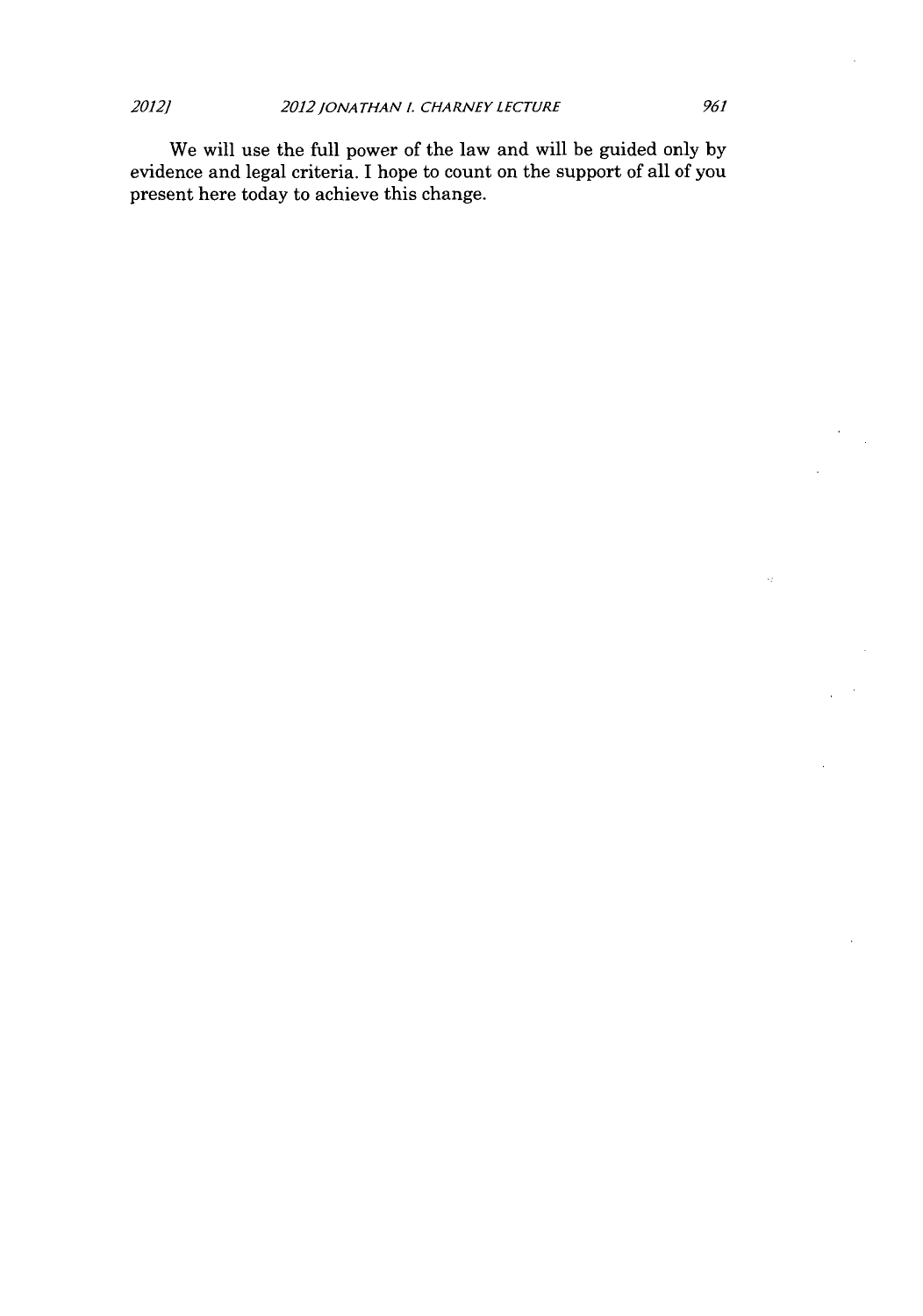We will use the full power of the law and will be guided only by evidence and legal criteria. I hope to count on the support of all of you present here today to achieve this change.

Â.